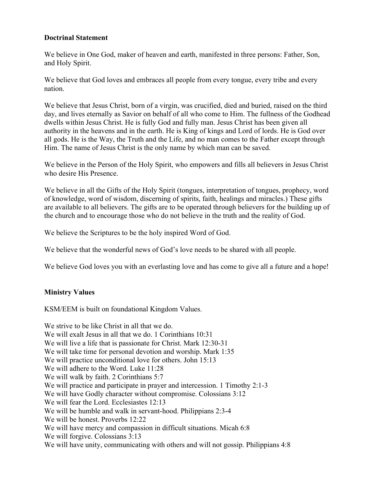## **Doctrinal Statement**

We believe in One God, maker of heaven and earth, manifested in three persons: Father, Son, and Holy Spirit.

We believe that God loves and embraces all people from every tongue, every tribe and every nation.

We believe that Jesus Christ, born of a virgin, was crucified, died and buried, raised on the third day, and lives eternally as Savior on behalf of all who come to Him. The fullness of the Godhead dwells within Jesus Christ. He is fully God and fully man. Jesus Christ has been given all authority in the heavens and in the earth. He is King of kings and Lord of lords. He is God over all gods. He is the Way, the Truth and the Life, and no man comes to the Father except through Him. The name of Jesus Christ is the only name by which man can be saved.

We believe in the Person of the Holy Spirit, who empowers and fills all believers in Jesus Christ who desire His Presence.

We believe in all the Gifts of the Holy Spirit (tongues, interpretation of tongues, prophecy, word of knowledge, word of wisdom, discerning of spirits, faith, healings and miracles.) These gifts are available to all believers. The gifts are to be operated through believers for the building up of the church and to encourage those who do not believe in the truth and the reality of God.

We believe the Scriptures to be the holy inspired Word of God.

We believe that the wonderful news of God's love needs to be shared with all people.

We believe God loves you with an everlasting love and has come to give all a future and a hope!

# **Ministry Values**

KSM/EEM is built on foundational Kingdom Values.

We strive to be like Christ in all that we do. We will exalt Jesus in all that we do. 1 Corinthians 10:31 We will live a life that is passionate for Christ. Mark 12:30-31 We will take time for personal devotion and worship. Mark 1:35 We will practice unconditional love for others. John 15:13 We will adhere to the Word. Luke 11:28 We will walk by faith. 2 Corinthians 5:7 We will practice and participate in prayer and intercession. 1 Timothy 2:1-3 We will have Godly character without compromise. Colossians 3:12 We will fear the Lord. Ecclesiastes 12:13 We will be humble and walk in servant-hood. Philippians 2:3-4 We will be honest. Proverbs 12:22 We will have mercy and compassion in difficult situations. Micah 6:8 We will forgive. Colossians 3:13 We will have unity, communicating with others and will not gossip. Philippians 4:8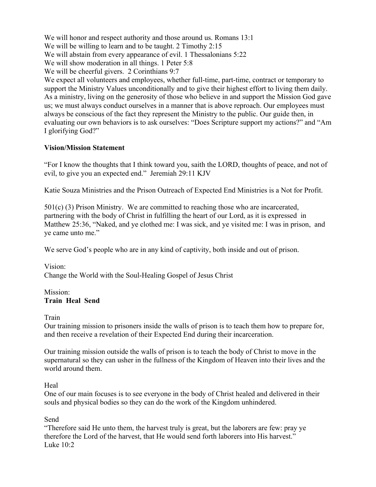We will honor and respect authority and those around us. Romans 13:1 We will be willing to learn and to be taught. 2 Timothy 2:15 We will abstain from every appearance of evil. 1 Thessalonians 5:22 We will show moderation in all things. 1 Peter 5:8 We will be cheerful givers. 2 Corinthians 9:7 We expect all volunteers and employees, whether full-time, part-time, contract or temporary to support the Ministry Values unconditionally and to give their highest effort to living them daily. As a ministry, living on the generosity of those who believe in and support the Mission God gave us; we must always conduct ourselves in a manner that is above reproach. Our employees must always be conscious of the fact they represent the Ministry to the public. Our guide then, in evaluating our own behaviors is to ask ourselves: "Does Scripture support my actions?" and "Am I glorifying God?"

# **Vision/Mission Statement**

"For I know the thoughts that I think toward you, saith the LORD, thoughts of peace, and not of evil, to give you an expected end." Jeremiah 29:11 KJV

Katie Souza Ministries and the Prison Outreach of Expected End Ministries is a Not for Profit.

501(c) (3) Prison Ministry. We are committed to reaching those who are incarcerated, partnering with the body of Christ in fulfilling the heart of our Lord, as it is expressed in Matthew 25:36, "Naked, and ye clothed me: I was sick, and ye visited me: I was in prison, and ye came unto me."

We serve God's people who are in any kind of captivity, both inside and out of prison.

Vision: Change the World with the Soul-Healing Gospel of Jesus Christ

### Mission: **Train Heal Send**

Train

Our training mission to prisoners inside the walls of prison is to teach them how to prepare for, and then receive a revelation of their Expected End during their incarceration.

Our training mission outside the walls of prison is to teach the body of Christ to move in the supernatural so they can usher in the fullness of the Kingdom of Heaven into their lives and the world around them.

# Heal

One of our main focuses is to see everyone in the body of Christ healed and delivered in their souls and physical bodies so they can do the work of the Kingdom unhindered.

# Send

"Therefore said He unto them, the harvest truly is great, but the laborers are few: pray ye therefore the Lord of the harvest, that He would send forth laborers into His harvest." Luke  $10.2$